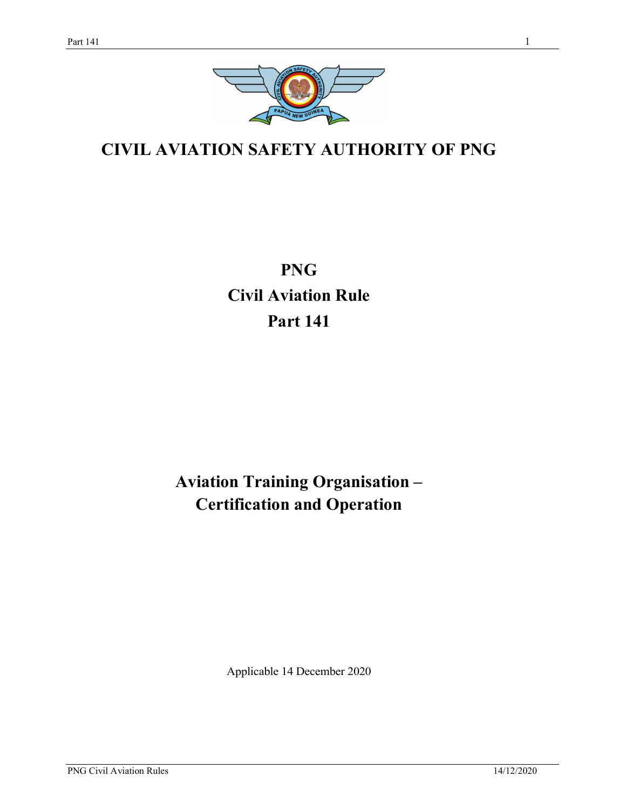

# CIVIL AVIATION SAFETY AUTHORITY OF PNG

PNG Civil Aviation Rule Part 141

# Aviation Training Organisation – Certification and Operation

Applicable 14 December 2020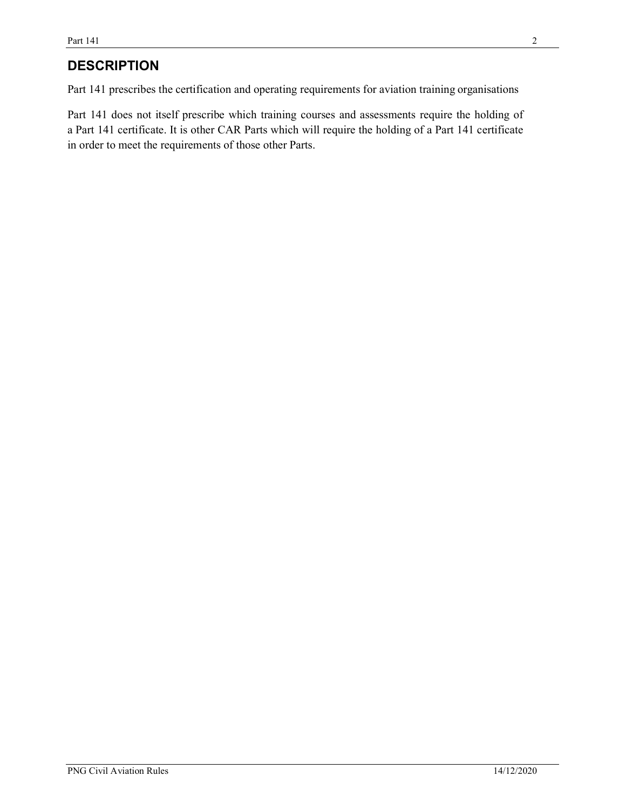# **DESCRIPTION**

Part 141 prescribes the certification and operating requirements for aviation training organisations

Part 141 does not itself prescribe which training courses and assessments require the holding of a Part 141 certificate. It is other CAR Parts which will require the holding of a Part 141 certificate in order to meet the requirements of those other Parts.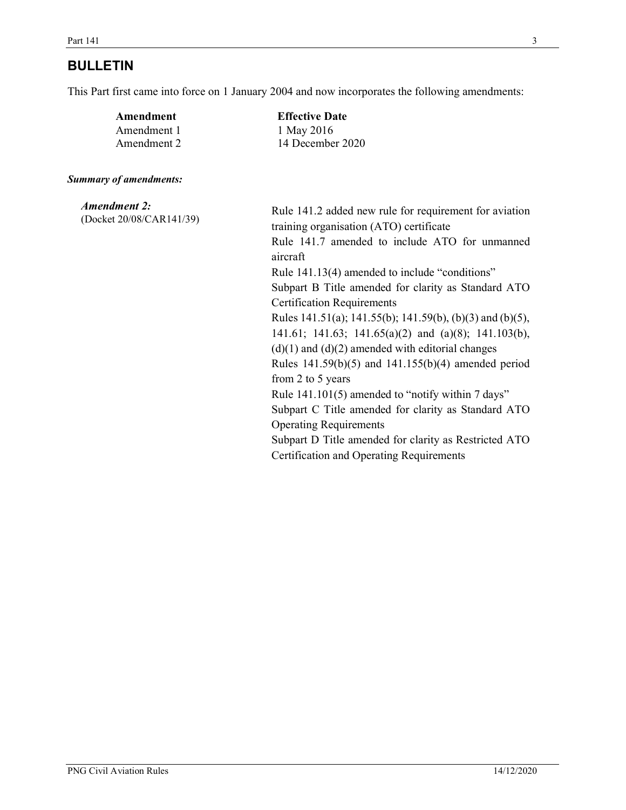# BULLETIN

This Part first came into force on 1 January 2004 and now incorporates the following amendments:

| Amendment   | <b>Effective Date</b> |
|-------------|-----------------------|
| Amendment 1 | 1 May 2016            |
| Amendment 2 | 14 December 2020      |

#### Summary of amendments:

| <b>Amendment 2:</b><br>(Docket 20/08/CAR141/39) | Rule 141.2 added new rule for requirement for aviation<br>training organisation (ATO) certificate<br>Rule 141.7 amended to include ATO for unmanned<br>aircraft |
|-------------------------------------------------|-----------------------------------------------------------------------------------------------------------------------------------------------------------------|
|                                                 | Rule 141.13(4) amended to include "conditions"                                                                                                                  |
|                                                 | Subpart B Title amended for clarity as Standard ATO                                                                                                             |
|                                                 | <b>Certification Requirements</b>                                                                                                                               |
|                                                 | Rules 141.51(a); 141.55(b); 141.59(b), (b)(3) and (b)(5),                                                                                                       |
|                                                 | 141.61; 141.63; 141.65(a)(2) and (a)(8); 141.103(b),                                                                                                            |
|                                                 | $(d)(1)$ and $(d)(2)$ amended with editorial changes                                                                                                            |
|                                                 | Rules $141.59(b)(5)$ and $141.155(b)(4)$ amended period                                                                                                         |
|                                                 | from 2 to 5 years                                                                                                                                               |
|                                                 | Rule 141.101(5) amended to "notify within 7 days"                                                                                                               |
|                                                 | Subpart C Title amended for clarity as Standard ATO                                                                                                             |
|                                                 | <b>Operating Requirements</b>                                                                                                                                   |
|                                                 | Subpart D Title amended for clarity as Restricted ATO                                                                                                           |
|                                                 | <b>Certification and Operating Requirements</b>                                                                                                                 |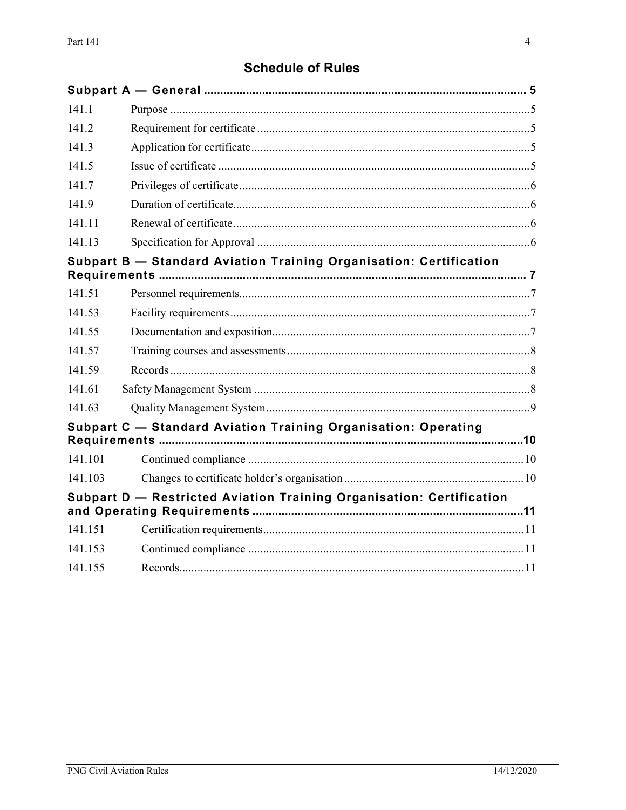# **Schedule of Rules**

| 141.1   |                                                                      |  |
|---------|----------------------------------------------------------------------|--|
| 141.2   |                                                                      |  |
| 141.3   |                                                                      |  |
| 141.5   |                                                                      |  |
| 141.7   |                                                                      |  |
| 141.9   |                                                                      |  |
| 141.11  |                                                                      |  |
| 141.13  |                                                                      |  |
|         | Subpart B - Standard Aviation Training Organisation: Certification   |  |
| 141.51  |                                                                      |  |
| 141.53  |                                                                      |  |
| 141.55  |                                                                      |  |
| 141.57  |                                                                      |  |
| 141.59  |                                                                      |  |
| 141.61  |                                                                      |  |
| 141.63  |                                                                      |  |
|         | Subpart C - Standard Aviation Training Organisation: Operating       |  |
| 141.101 |                                                                      |  |
| 141.103 |                                                                      |  |
|         | Subpart D - Restricted Aviation Training Organisation: Certification |  |
| 141.151 |                                                                      |  |
| 141.153 |                                                                      |  |
| 141.155 |                                                                      |  |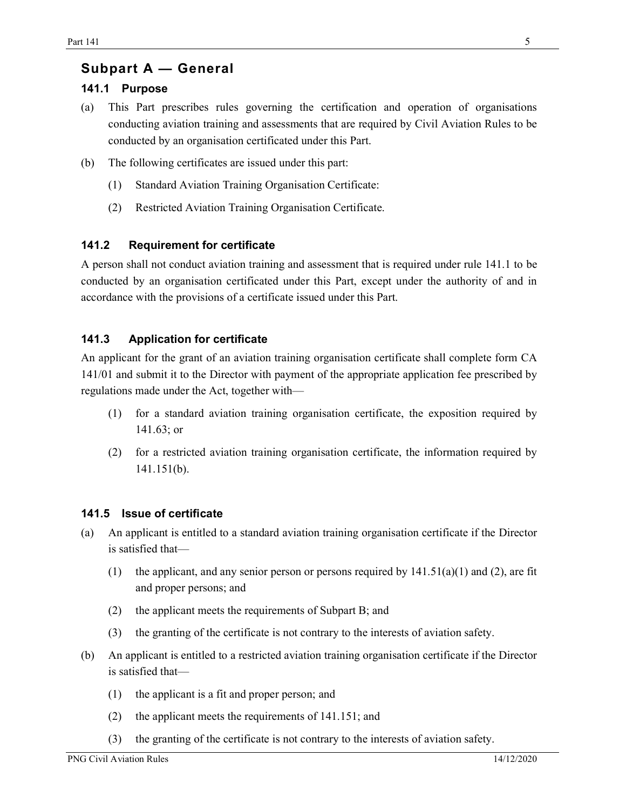## Subpart A — General

### 141.1 Purpose

- (a) This Part prescribes rules governing the certification and operation of organisations conducting aviation training and assessments that are required by Civil Aviation Rules to be conducted by an organisation certificated under this Part.
- (b) The following certificates are issued under this part:
	- (1) Standard Aviation Training Organisation Certificate:
	- (2) Restricted Aviation Training Organisation Certificate.

### 141.2 Requirement for certificate

A person shall not conduct aviation training and assessment that is required under rule 141.1 to be conducted by an organisation certificated under this Part, except under the authority of and in accordance with the provisions of a certificate issued under this Part.

### 141.3 Application for certificate

An applicant for the grant of an aviation training organisation certificate shall complete form CA 141/01 and submit it to the Director with payment of the appropriate application fee prescribed by regulations made under the Act, together with—

- (1) for a standard aviation training organisation certificate, the exposition required by 141.63; or
- (2) for a restricted aviation training organisation certificate, the information required by 141.151(b).

### 141.5 Issue of certificate

- (a) An applicant is entitled to a standard aviation training organisation certificate if the Director is satisfied that—
	- (1) the applicant, and any senior person or persons required by  $141.51(a)(1)$  and (2), are fit and proper persons; and
	- (2) the applicant meets the requirements of Subpart B; and
	- (3) the granting of the certificate is not contrary to the interests of aviation safety.
- (b) An applicant is entitled to a restricted aviation training organisation certificate if the Director is satisfied that—
	- (1) the applicant is a fit and proper person; and
	- (2) the applicant meets the requirements of 141.151; and
	- (3) the granting of the certificate is not contrary to the interests of aviation safety.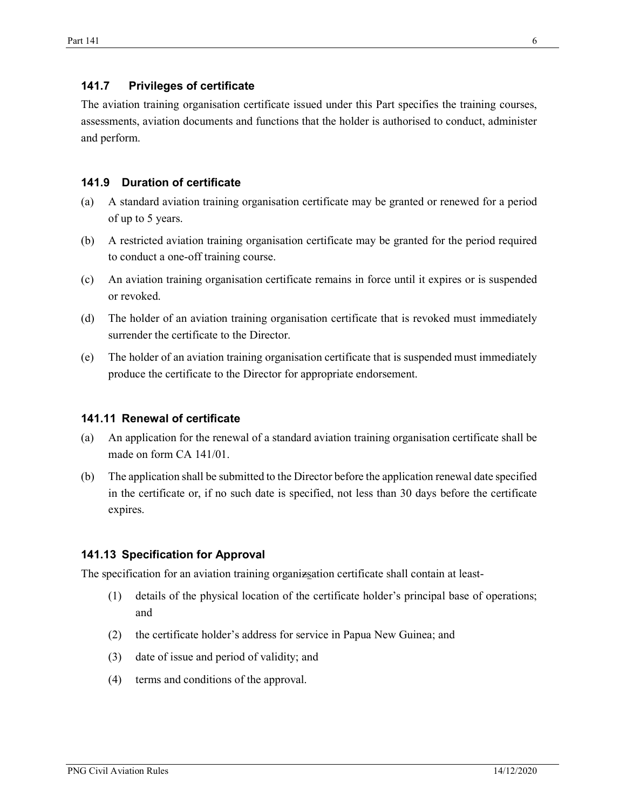#### 141.7 Privileges of certificate

The aviation training organisation certificate issued under this Part specifies the training courses, assessments, aviation documents and functions that the holder is authorised to conduct, administer and perform.

#### 141.9 Duration of certificate

- (a) A standard aviation training organisation certificate may be granted or renewed for a period of up to 5 years.
- (b) A restricted aviation training organisation certificate may be granted for the period required to conduct a one-off training course.
- (c) An aviation training organisation certificate remains in force until it expires or is suspended or revoked.
- (d) The holder of an aviation training organisation certificate that is revoked must immediately surrender the certificate to the Director.
- (e) The holder of an aviation training organisation certificate that is suspended must immediately produce the certificate to the Director for appropriate endorsement.

#### 141.11 Renewal of certificate

- (a) An application for the renewal of a standard aviation training organisation certificate shall be made on form CA 141/01.
- (b) The application shall be submitted to the Director before the application renewal date specified in the certificate or, if no such date is specified, not less than 30 days before the certificate expires.

#### 141.13 Specification for Approval

The specification for an aviation training organizsation certificate shall contain at least-

- (1) details of the physical location of the certificate holder's principal base of operations; and
- (2) the certificate holder's address for service in Papua New Guinea; and
- (3) date of issue and period of validity; and
- (4) terms and conditions of the approval.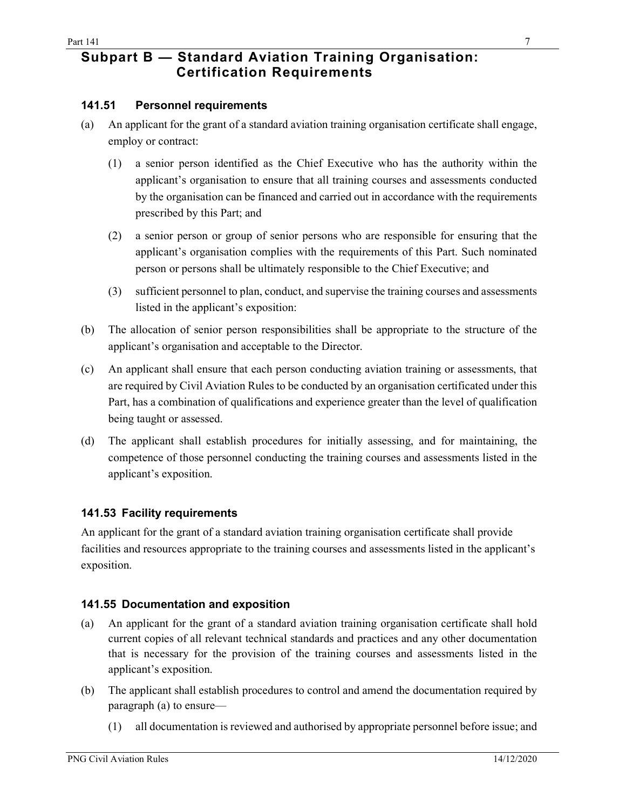## Subpart B — Standard Aviation Training Organisation: Certification Requirements

#### 141.51 Personnel requirements

- (a) An applicant for the grant of a standard aviation training organisation certificate shall engage, employ or contract:
	- (1) a senior person identified as the Chief Executive who has the authority within the applicant's organisation to ensure that all training courses and assessments conducted by the organisation can be financed and carried out in accordance with the requirements prescribed by this Part; and
	- (2) a senior person or group of senior persons who are responsible for ensuring that the applicant's organisation complies with the requirements of this Part. Such nominated person or persons shall be ultimately responsible to the Chief Executive; and
	- (3) sufficient personnel to plan, conduct, and supervise the training courses and assessments listed in the applicant's exposition:
- (b) The allocation of senior person responsibilities shall be appropriate to the structure of the applicant's organisation and acceptable to the Director.
- (c) An applicant shall ensure that each person conducting aviation training or assessments, that are required by Civil Aviation Rules to be conducted by an organisation certificated under this Part, has a combination of qualifications and experience greater than the level of qualification being taught or assessed.
- (d) The applicant shall establish procedures for initially assessing, and for maintaining, the competence of those personnel conducting the training courses and assessments listed in the applicant's exposition.

### 141.53 Facility requirements

An applicant for the grant of a standard aviation training organisation certificate shall provide facilities and resources appropriate to the training courses and assessments listed in the applicant's exposition.

#### 141.55 Documentation and exposition

- (a) An applicant for the grant of a standard aviation training organisation certificate shall hold current copies of all relevant technical standards and practices and any other documentation that is necessary for the provision of the training courses and assessments listed in the applicant's exposition.
- (b) The applicant shall establish procedures to control and amend the documentation required by paragraph (a) to ensure—
	- (1) all documentation is reviewed and authorised by appropriate personnel before issue; and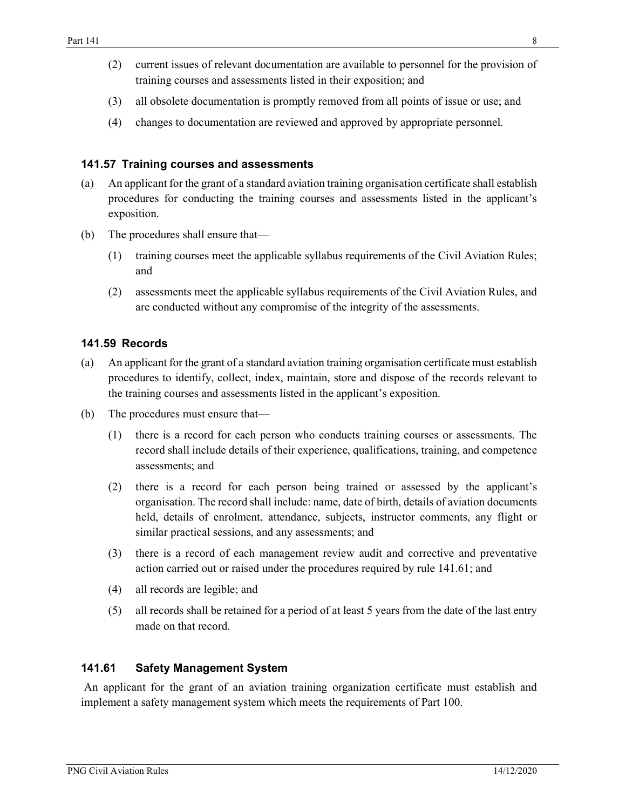- (2) current issues of relevant documentation are available to personnel for the provision of training courses and assessments listed in their exposition; and
- (3) all obsolete documentation is promptly removed from all points of issue or use; and
- (4) changes to documentation are reviewed and approved by appropriate personnel.

#### 141.57 Training courses and assessments

- (a) An applicant for the grant of a standard aviation training organisation certificate shall establish procedures for conducting the training courses and assessments listed in the applicant's exposition.
- (b) The procedures shall ensure that—
	- (1) training courses meet the applicable syllabus requirements of the Civil Aviation Rules; and
	- (2) assessments meet the applicable syllabus requirements of the Civil Aviation Rules, and are conducted without any compromise of the integrity of the assessments.

### 141.59 Records

- (a) An applicant for the grant of a standard aviation training organisation certificate must establish procedures to identify, collect, index, maintain, store and dispose of the records relevant to the training courses and assessments listed in the applicant's exposition.
- (b) The procedures must ensure that—
	- (1) there is a record for each person who conducts training courses or assessments. The record shall include details of their experience, qualifications, training, and competence assessments; and
	- (2) there is a record for each person being trained or assessed by the applicant's organisation. The record shall include: name, date of birth, details of aviation documents held, details of enrolment, attendance, subjects, instructor comments, any flight or similar practical sessions, and any assessments; and
	- (3) there is a record of each management review audit and corrective and preventative action carried out or raised under the procedures required by rule 141.61; and
	- (4) all records are legible; and
	- (5) all records shall be retained for a period of at least 5 years from the date of the last entry made on that record.

### 141.61 Safety Management System

An applicant for the grant of an aviation training organization certificate must establish and implement a safety management system which meets the requirements of Part 100.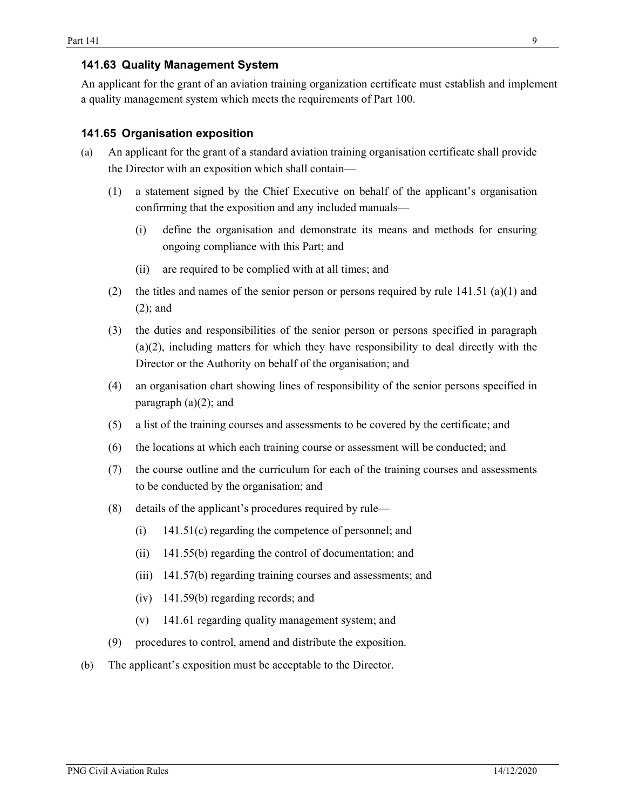### 141.63 Quality Management System

An applicant for the grant of an aviation training organization certificate must establish and implement a quality management system which meets the requirements of Part 100.

#### 141.65 Organisation exposition

- (a) An applicant for the grant of a standard aviation training organisation certificate shall provide the Director with an exposition which shall contain—
	- (1) a statement signed by the Chief Executive on behalf of the applicant's organisation confirming that the exposition and any included manuals—
		- (i) define the organisation and demonstrate its means and methods for ensuring ongoing compliance with this Part; and
		- (ii) are required to be complied with at all times; and
	- (2) the titles and names of the senior person or persons required by rule  $141.51$  (a)(1) and (2); and
	- (3) the duties and responsibilities of the senior person or persons specified in paragraph (a)(2), including matters for which they have responsibility to deal directly with the Director or the Authority on behalf of the organisation; and
	- (4) an organisation chart showing lines of responsibility of the senior persons specified in paragraph (a)(2); and
	- (5) a list of the training courses and assessments to be covered by the certificate; and
	- (6) the locations at which each training course or assessment will be conducted; and
	- (7) the course outline and the curriculum for each of the training courses and assessments to be conducted by the organisation; and
	- (8) details of the applicant's procedures required by rule—
		- (i) 141.51(c) regarding the competence of personnel; and
		- (ii) 141.55(b) regarding the control of documentation; and
		- (iii) 141.57(b) regarding training courses and assessments; and
		- (iv) 141.59(b) regarding records; and
		- (v) 141.61 regarding quality management system; and
	- (9) procedures to control, amend and distribute the exposition.
- (b) The applicant's exposition must be acceptable to the Director.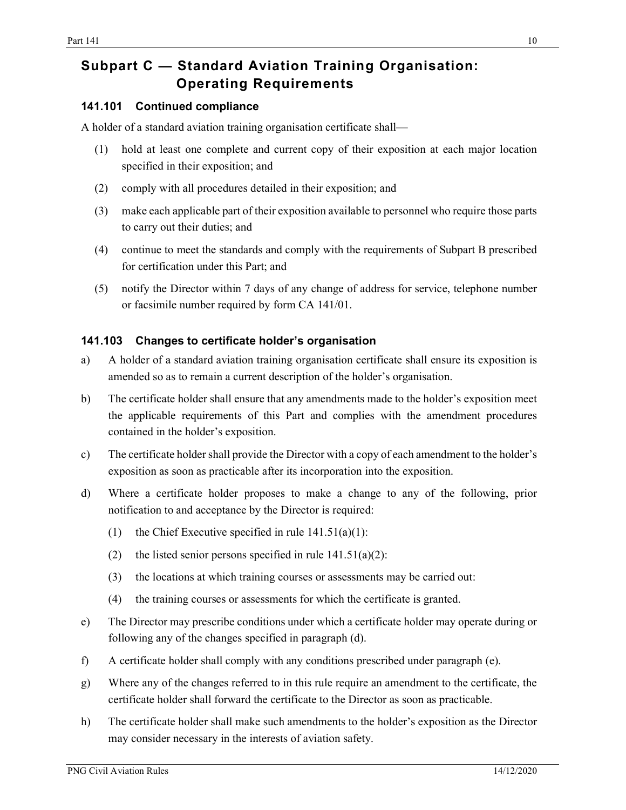# Subpart C — Standard Aviation Training Organisation: Operating Requirements

### 141.101 Continued compliance

A holder of a standard aviation training organisation certificate shall—

- (1) hold at least one complete and current copy of their exposition at each major location specified in their exposition; and
- (2) comply with all procedures detailed in their exposition; and
- (3) make each applicable part of their exposition available to personnel who require those parts to carry out their duties; and
- (4) continue to meet the standards and comply with the requirements of Subpart B prescribed for certification under this Part; and
- (5) notify the Director within 7 days of any change of address for service, telephone number or facsimile number required by form CA 141/01.

### 141.103 Changes to certificate holder's organisation

- a) A holder of a standard aviation training organisation certificate shall ensure its exposition is amended so as to remain a current description of the holder's organisation.
- b) The certificate holder shall ensure that any amendments made to the holder's exposition meet the applicable requirements of this Part and complies with the amendment procedures contained in the holder's exposition.
- c) The certificate holder shall provide the Director with a copy of each amendment to the holder's exposition as soon as practicable after its incorporation into the exposition.
- d) Where a certificate holder proposes to make a change to any of the following, prior notification to and acceptance by the Director is required:
	- (1) the Chief Executive specified in rule  $141.51(a)(1)$ :
	- (2) the listed senior persons specified in rule  $141.51(a)(2)$ :
	- (3) the locations at which training courses or assessments may be carried out:
	- (4) the training courses or assessments for which the certificate is granted.
- e) The Director may prescribe conditions under which a certificate holder may operate during or following any of the changes specified in paragraph (d).
- f) A certificate holder shall comply with any conditions prescribed under paragraph (e).
- g) Where any of the changes referred to in this rule require an amendment to the certificate, the certificate holder shall forward the certificate to the Director as soon as practicable.
- h) The certificate holder shall make such amendments to the holder's exposition as the Director may consider necessary in the interests of aviation safety.